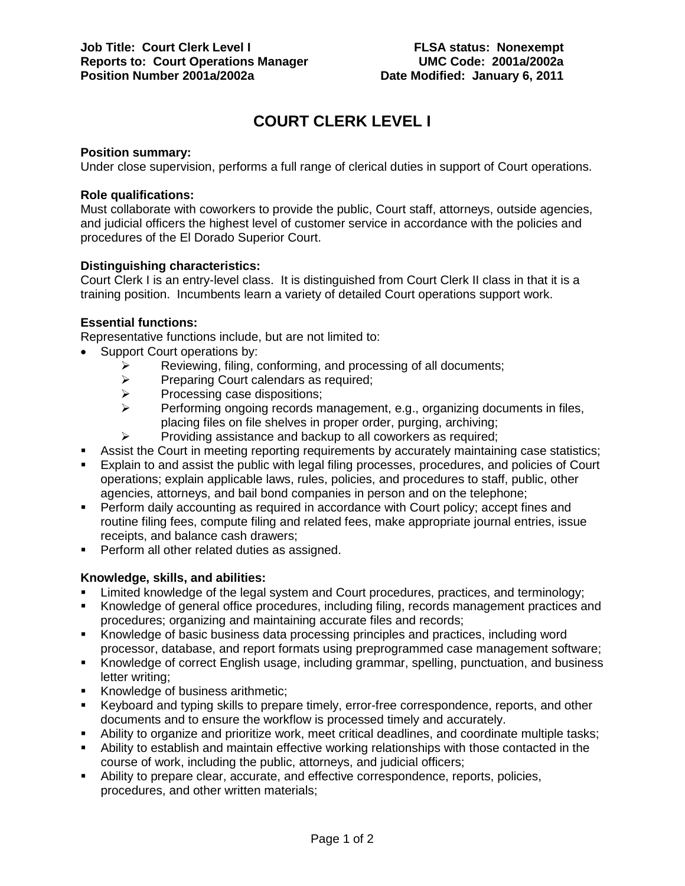# **COURT CLERK LEVEL I**

# **Position summary:**

Under close supervision, performs a full range of clerical duties in support of Court operations.

## **Role qualifications:**

Must collaborate with coworkers to provide the public, Court staff, attorneys, outside agencies, and judicial officers the highest level of customer service in accordance with the policies and procedures of the El Dorado Superior Court.

# **Distinguishing characteristics:**

Court Clerk I is an entry-level class. It is distinguished from Court Clerk II class in that it is a training position. Incumbents learn a variety of detailed Court operations support work.

# **Essential functions:**

Representative functions include, but are not limited to:

- Support Court operations by:
	- Reviewing, filing, conforming, and processing of all documents;<br>
	Preparing Court calendars as required;
	- $\triangleright$  Preparing Court calendars as required;<br>
	Processing case dispositions;
	- $\triangleright$  Processing case dispositions;<br> $\triangleright$  Performing ongoing records m
	- Performing ongoing records management, e.g., organizing documents in files, placing files on file shelves in proper order, purging, archiving;
	- $\triangleright$  Providing assistance and backup to all coworkers as required;
- Assist the Court in meeting reporting requirements by accurately maintaining case statistics;
- Explain to and assist the public with legal filing processes, procedures, and policies of Court operations; explain applicable laws, rules, policies, and procedures to staff, public, other agencies, attorneys, and bail bond companies in person and on the telephone;
- Perform daily accounting as required in accordance with Court policy; accept fines and routine filing fees, compute filing and related fees, make appropriate journal entries, issue receipts, and balance cash drawers;
- Perform all other related duties as assigned.

# **Knowledge, skills, and abilities:**

- Limited knowledge of the legal system and Court procedures, practices, and terminology;
- Knowledge of general office procedures, including filing, records management practices and procedures; organizing and maintaining accurate files and records;
- Knowledge of basic business data processing principles and practices, including word processor, database, and report formats using preprogrammed case management software;
- Knowledge of correct English usage, including grammar, spelling, punctuation, and business letter writing;
- Knowledge of business arithmetic;
- Keyboard and typing skills to prepare timely, error-free correspondence, reports, and other documents and to ensure the workflow is processed timely and accurately.
- Ability to organize and prioritize work, meet critical deadlines, and coordinate multiple tasks;
- Ability to establish and maintain effective working relationships with those contacted in the course of work, including the public, attorneys, and judicial officers;
- Ability to prepare clear, accurate, and effective correspondence, reports, policies, procedures, and other written materials;